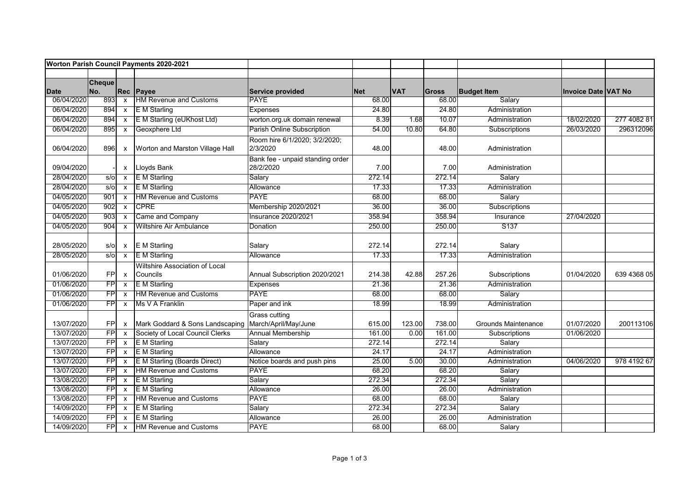| Worton Parish Council Payments 2020-2021 |                      |                           |                                                      |                                               |            |            |              |                            |                            |             |
|------------------------------------------|----------------------|---------------------------|------------------------------------------------------|-----------------------------------------------|------------|------------|--------------|----------------------------|----------------------------|-------------|
|                                          |                      |                           |                                                      |                                               |            |            |              |                            |                            |             |
| Date                                     | <b>Cheque</b><br>No. | Rec                       | Payee                                                | Service provided                              | <b>Net</b> | <b>VAT</b> | <b>Gross</b> | <b>Budget Item</b>         | <b>Invoice Date VAT No</b> |             |
| 06/04/2020                               | 893                  | $\mathsf{x}$              | <b>HM Revenue and Customs</b>                        | <b>PAYE</b>                                   | 68.00      |            | 68.00        | Salary                     |                            |             |
| 06/04/2020                               | 894                  | $\mathsf{x}$              | <b>E</b> M Starling                                  | Expenses                                      | 24.80      |            | 24.80        | Administration             |                            |             |
| 06/04/2020                               | 894                  | $\mathsf{x}$              | E M Starling (eUKhost Ltd)                           | worton.org.uk domain renewal                  | 8.39       | 1.68       | 10.07        | Administration             | 18/02/2020                 | 277 4082 81 |
| 06/04/2020                               | 895                  | $\mathsf{x}$              | Geoxphere Ltd                                        | Parish Online Subscription                    | 54.00      | 10.80      | 64.80        | Subscriptions              | 26/03/2020                 | 296312096   |
| 06/04/2020                               | 896                  | X                         | Worton and Marston Village Hall                      | Room hire 6/1/2020; 3/2/2020;<br>2/3/2020     | 48.00      |            | 48.00        | Administration             |                            |             |
| 09/04/2020                               |                      |                           | x Lloyds Bank                                        | Bank fee - unpaid standing order<br>28/2/2020 | 7.00       |            | 7.00         | Administration             |                            |             |
| 28/04/2020                               | s/0                  | $\boldsymbol{\mathsf{x}}$ | <b>E</b> M Starling                                  | Salary                                        | 272.14     |            | 272.14       | Salary                     |                            |             |
| 28/04/2020                               | s/6                  | X                         | <b>E</b> M Starling                                  | Allowance                                     | 17.33      |            | 17.33        | Administration             |                            |             |
| 04/05/2020                               | 901                  | $\mathsf{x}$              | <b>HM Revenue and Customs</b>                        | <b>PAYE</b>                                   | 68.00      |            | 68.00        | Salary                     |                            |             |
| 04/05/2020                               | 902                  | X                         | <b>CPRE</b>                                          | Membership 2020/2021                          | 36.00      |            | 36.00        | Subscriptions              |                            |             |
| 04/05/2020                               | 903                  | X                         | Came and Company                                     | <b>Insurance 2020/2021</b>                    | 358.94     |            | 358.94       | Insurance                  | 27/04/2020                 |             |
| 04/05/2020                               | 904                  | X                         | <b>Wiltshire Air Ambulance</b>                       | Donation                                      | 250.00     |            | 250.00       | S <sub>137</sub>           |                            |             |
| 28/05/2020                               | $s$ /o               |                           | x E M Starling                                       | Salary                                        | 272.14     |            | 272.14       | Salary                     |                            |             |
| 28/05/2020                               | s/o                  | $\overline{\mathsf{x}}$   | <b>E</b> M Starling                                  | Allowance                                     | 17.33      |            | 17.33        | Administration             |                            |             |
| 01/06/2020                               | <b>FPI</b>           | $\mathsf{x}$              | <b>Wiltshire Association of Local</b><br>Councils    | Annual Subscription 2020/2021                 | 214.38     | 42.88      | 257.26       | Subscriptions              | 01/04/2020                 | 639 4368 05 |
| 01/06/2020                               | FP                   | $\mathsf{x}$              | E M Starling                                         | <b>Expenses</b>                               | 21.36      |            | 21.36        | Administration             |                            |             |
| 01/06/2020                               | FPI                  | $\mathsf{x}$              | <b>HM Revenue and Customs</b>                        | PAYE                                          | 68.00      |            | 68.00        | Salary                     |                            |             |
| 01/06/2020                               | FP                   | $\mathsf{x}$              | Ms V A Franklin                                      | Paper and ink                                 | 18.99      |            | 18.99        | Administration             |                            |             |
| 13/07/2020                               | <b>FPI</b>           | $\mathsf{x}$              | Mark Goddard & Sons Landscaping March/April/May/June | <b>Grass cutting</b>                          | 615.00     | 123.00     | 738.00       | <b>Grounds Maintenance</b> | 01/07/2020                 | 200113106   |
| 13/07/2020                               | $\overline{F}$       | $\mathsf{x}$              | Society of Local Council Clerks                      | <b>Annual Membership</b>                      | 161.00     | 0.00       | 161.00       | Subscriptions              | 01/06/2020                 |             |
| 13/07/2020                               | FP                   | $\mathsf{x}$              | E M Starling                                         | Salary                                        | 272.14     |            | 272.14       | Salary                     |                            |             |
| 13/07/2020                               | FP                   | $\mathsf{x}$              | E M Starling                                         | Allowance                                     | 24.17      |            | 24.17        | Administration             |                            |             |
| 13/07/2020                               | FP                   | X                         | E M Starling (Boards Direct)                         | Notice boards and push pins                   | 25.00      | 5.00       | 30.00        | Administration             | 04/06/2020                 | 978 4192 67 |
| 13/07/2020                               | FP                   | $\mathsf{x}$              | <b>HM Revenue and Customs</b>                        | <b>PAYE</b>                                   | 68.20      |            | 68.20        | Salary                     |                            |             |
| 13/08/2020                               | $\overline{F}$       | $\mathsf{x}$              | E M Starling                                         | Salary                                        | 272.34     |            | 272.34       | Salary                     |                            |             |
| 13/08/2020                               | $\overline{F}$       | $\mathsf{x}$              | <b>E</b> M Starling                                  | Allowance                                     | 26.00      |            | 26.00        | Administration             |                            |             |
| 13/08/2020                               | $\overline{FP}$      | $\mathsf{x}$              | <b>HM Revenue and Customs</b>                        | <b>PAYE</b>                                   | 68.00      |            | 68.00        | Salary                     |                            |             |
| 14/09/2020                               | $\overline{FP}$      | $\boldsymbol{\mathsf{x}}$ | <b>E</b> M Starling                                  | Salary                                        | 272.34     |            | 272.34       | Salary                     |                            |             |
| 14/09/2020                               | FP                   | $\mathsf{x}$              | E M Starling                                         | Allowance                                     | 26.00      |            | 26.00        | Administration             |                            |             |
| 14/09/2020                               | FP                   | $\mathsf{x}$              | <b>HM Revenue and Customs</b>                        | <b>PAYE</b>                                   | 68.00      |            | 68.00        | Salary                     |                            |             |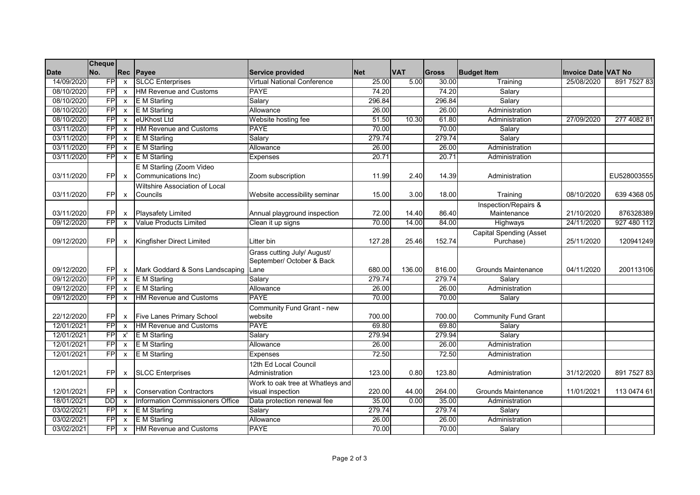|             | <b>Cheque</b>   |                           |                                  |                                    |            |            |              |                                |                            |             |
|-------------|-----------------|---------------------------|----------------------------------|------------------------------------|------------|------------|--------------|--------------------------------|----------------------------|-------------|
| <b>Date</b> | No.             |                           | Rec Payee                        | Service provided                   | <b>Net</b> | <b>VAT</b> | <b>Gross</b> | <b>Budget Item</b>             | <b>Invoice Date VAT No</b> |             |
| 14/09/2020  | FP              | $\mathsf{x}$              | <b>SLCC Enterprises</b>          | <b>Virtual National Conference</b> | 25.00      | 5.00       | 30.00        | Training                       | 25/08/2020                 | 891 7527 83 |
| 08/10/2020  | FPI             | $\mathsf{x}$              | <b>HM Revenue and Customs</b>    | <b>PAYE</b>                        | 74.20      |            | 74.20        | Salary                         |                            |             |
| 08/10/2020  | $\overline{F}$  | $\mathsf{x}$              | <b>E</b> M Starling              | Salary                             | 296.84     |            | 296.84       | Salary                         |                            |             |
| 08/10/2020  | FP              | $\mathsf{x}$              | E M Starling                     | Allowance                          | 26.00      |            | 26.00        | Administration                 |                            |             |
| 08/10/2020  | FPI             | $\boldsymbol{\mathsf{x}}$ | eUKhost Ltd                      | Website hosting fee                | 51.50      | 10.30      | 61.80        | Administration                 | 27/09/2020                 | 277 4082 81 |
| 03/11/2020  | FP              | $\mathsf{x}$              | <b>HM Revenue and Customs</b>    | <b>PAYE</b>                        | 70.00      |            | 70.00        | Salary                         |                            |             |
| 03/11/2020  | FP              | $\boldsymbol{\mathsf{x}}$ | <b>E</b> M Starling              | Salary                             | 279.74     |            | 279.74       | Salary                         |                            |             |
| 03/11/2020  | FP              | $\mathsf{x}$              | E M Starling                     | Allowance                          | 26.00      |            | 26.00        | Administration                 |                            |             |
| 03/11/2020  | FP              | $\mathsf{x}$              | E M Starling                     | Expenses                           | 20.71      |            | 20.71        | Administration                 |                            |             |
|             |                 |                           | E M Starling (Zoom Video         |                                    |            |            |              |                                |                            |             |
| 03/11/2020  | FPI             | $\boldsymbol{\mathsf{x}}$ | Communications Inc)              | Zoom subscription                  | 11.99      | 2.40       | 14.39        | Administration                 |                            | EU528003555 |
|             |                 |                           | Wiltshire Association of Local   |                                    |            |            |              |                                |                            |             |
| 03/11/2020  | FP              | $\boldsymbol{\mathsf{x}}$ | Councils                         | Website accessibility seminar      | 15.00      | 3.00       | 18.00        | Training                       | 08/10/2020                 | 639 4368 05 |
|             |                 |                           |                                  |                                    |            |            |              | Inspection/Repairs &           |                            |             |
| 03/11/2020  | FP              | $\mathsf{x}$              | <b>Playsafety Limited</b>        | Annual playground inspection       | 72.00      | 14.40      | 86.40        | Maintenance                    | 21/10/2020                 | 876328389   |
| 09/12/2020  | FP              | $\mathsf{x}$              | <b>Value Products Limited</b>    | Clean it up signs                  | 70.00      | 14.00      | 84.00        | Highways                       | 24/11/2020                 | 927 480 112 |
|             |                 |                           |                                  |                                    |            |            |              | <b>Capital Spending (Asset</b> |                            |             |
| 09/12/2020  | <b>FPI</b>      | X                         | Kingfisher Direct Limited        | Litter bin                         | 127.28     | 25.46      | 152.74       | Purchase)                      | 25/11/2020                 | 120941249   |
|             |                 |                           |                                  | Grass cutting July/ August/        |            |            |              |                                |                            |             |
|             |                 |                           |                                  | September/ October & Back          |            |            |              |                                |                            |             |
| 09/12/2020  | <b>FPI</b>      | $\boldsymbol{\mathsf{x}}$ | Mark Goddard & Sons Landscaping  | Lane                               | 680.00     | 136.00     | 816.00       | <b>Grounds Maintenance</b>     | 04/11/2020                 | 200113106   |
| 09/12/2020  | FPI             | $\mathsf{x}$              | E M Starling                     | Salarv                             | 279.74     |            | 279.74       | Salary                         |                            |             |
| 09/12/2020  | FP              | $\mathsf{x}$              | E M Starling                     | Allowance                          | 26.00      |            | 26.00        | Administration                 |                            |             |
| 09/12/2020  | $\overline{F}$  | $\mathsf{x}$              | <b>HM Revenue and Customs</b>    | <b>PAYE</b>                        | 70.00      |            | 70.00        | Salary                         |                            |             |
|             |                 |                           |                                  | Community Fund Grant - new         |            |            |              |                                |                            |             |
| 22/12/2020  | <b>FP</b>       | $\mathsf{x}$              | <b>Five Lanes Primary School</b> | website                            | 700.00     |            | 700.00       | <b>Community Fund Grant</b>    |                            |             |
| 12/01/2021  | <b>FP</b>       | $\mathsf{x}$              | <b>HM Revenue and Customs</b>    | <b>PAYE</b>                        | 69.80      |            | 69.80        | Salary                         |                            |             |
| 12/01/2021  | FPI             | x'                        | <b>E</b> M Starling              | Salary                             | 279.94     |            | 279.94       | Salary                         |                            |             |
| 12/01/2021  | FPI             | $\mathsf{x}$              | E M Starling                     | Allowance                          | 26.00      |            | 26.00        | Administration                 |                            |             |
| 12/01/2021  | FPI             | $\mathsf{x}$              | E M Starling                     | Expenses                           | 72.50      |            | 72.50        | Administration                 |                            |             |
|             |                 |                           |                                  | 12th Ed Local Council              |            |            |              |                                |                            |             |
| 12/01/2021  | <b>FPI</b>      | $\mathsf{x}$              | <b>SLCC</b> Enterprises          | Administration                     | 123.00     | 0.80       | 123.80       | Administration                 | 31/12/2020                 | 891 7527 83 |
|             |                 |                           |                                  | Work to oak tree at Whatleys and   |            |            |              |                                |                            |             |
| 12/01/2021  | <b>FPI</b>      | $\boldsymbol{\mathsf{x}}$ | <b>Conservation Contractors</b>  | visual inspection                  | 220.00     | 44.00      | 264.00       | <b>Grounds Maintenance</b>     | 11/01/2021                 | 113 0474 61 |
| 18/01/2021  | DD              | $\mathsf{x}$              | Information Commissioners Office | Data protection renewal fee        | 35.00      | 0.00       | 35.00        | Administration                 |                            |             |
| 03/02/2021  | $\overline{F}P$ | $\boldsymbol{\mathsf{x}}$ | E M Starling                     | Salary                             | 279.74     |            | 279.74       | Salary                         |                            |             |
| 03/02/2021  | $\overline{F}$  | $\boldsymbol{\mathsf{x}}$ | E M Starling                     | Allowance                          | 26.00      |            | 26.00        | Administration                 |                            |             |
| 03/02/2021  | <b>FP</b>       | $\mathsf{x}$              | <b>HM Revenue and Customs</b>    | <b>PAYE</b>                        | 70.00      |            | 70.00        | Salary                         |                            |             |